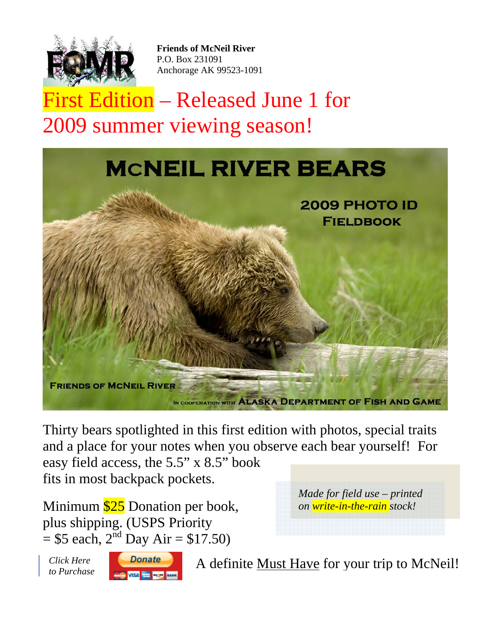

**Friends of McNeil River** P.O. Box 231091 Anchorage AK 99523-1091

First Edition – Released June 1 for 2009 summer viewing season!



Thirty bears spotlighted in this first edition with photos, special traits and a place for your notes when you observe each bear yourself! For easy field access, the 5.5" x 8.5" book fits in most backpack pockets.

Minimum  $$25$  Donation per book, plus shipping. (USPS Priority  $= $5$  each,  $2<sup>nd</sup>$  Day Air  $= $17.50$ )

*Made for field use – printed on write-in-the-rain stock!*

*Click Here* 



*Click Here* **Constitution A** definite <u>Must Have</u> for your trip to McNeil!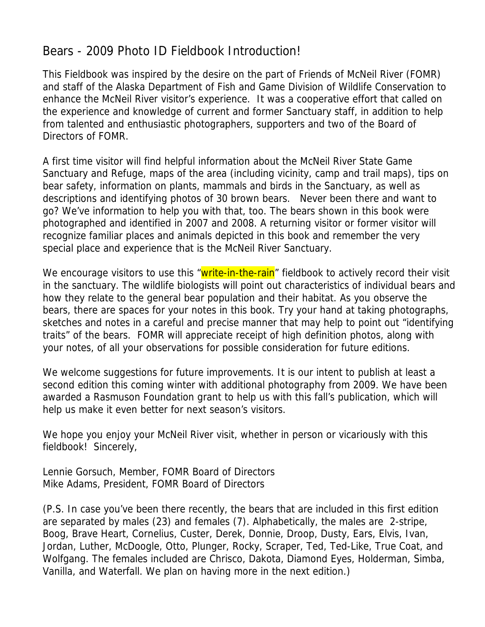### Bears - 2009 Photo ID Fieldbook Introduction!

This Fieldbook was inspired by the desire on the part of Friends of McNeil River (FOMR) and staff of the Alaska Department of Fish and Game Division of Wildlife Conservation to enhance the McNeil River visitor's experience. It was a cooperative effort that called on the experience and knowledge of current and former Sanctuary staff, in addition to help from talented and enthusiastic photographers, supporters and two of the Board of Directors of FOMR.

A first time visitor will find helpful information about the McNeil River State Game Sanctuary and Refuge, maps of the area (including vicinity, camp and trail maps), tips on bear safety, information on plants, mammals and birds in the Sanctuary, as well as descriptions and identifying photos of 30 brown bears. Never been there and want to go? We've information to help you with that, too. The bears shown in this book were photographed and identified in 2007 and 2008. A returning visitor or former visitor will recognize familiar places and animals depicted in this book and remember the very special place and experience that is the McNeil River Sanctuary.

We encourage visitors to use this "write-in-the-rain" fieldbook to actively record their visit in the sanctuary. The wildlife biologists will point out characteristics of individual bears and how they relate to the general bear population and their habitat. As you observe the bears, there are spaces for your notes in this book. Try your hand at taking photographs, sketches and notes in a careful and precise manner that may help to point out "identifying traits" of the bears. FOMR will appreciate receipt of high definition photos, along with your notes, of all your observations for possible consideration for future editions.

We welcome suggestions for future improvements. It is our intent to publish at least a second edition this coming winter with additional photography from 2009. We have been awarded a Rasmuson Foundation grant to help us with this fall's publication, which will help us make it even better for next season's visitors.

We hope you enjoy your McNeil River visit, whether in person or vicariously with this fieldbook! Sincerely,

Lennie Gorsuch, Member, FOMR Board of Directors Mike Adams, President, FOMR Board of Directors

(P.S. In case you've been there recently, the bears that are included in this first edition are separated by males (23) and females (7). Alphabetically, the males are 2-stripe, Boog, Brave Heart, Cornelius, Custer, Derek, Donnie, Droop, Dusty, Ears, Elvis, Ivan, Jordan, Luther, McDoogle, Otto, Plunger, Rocky, Scraper, Ted, Ted-Like, True Coat, and Wolfgang. The females included are Chrisco, Dakota, Diamond Eyes, Holderman, Simba, Vanilla, and Waterfall. We plan on having more in the next edition.)